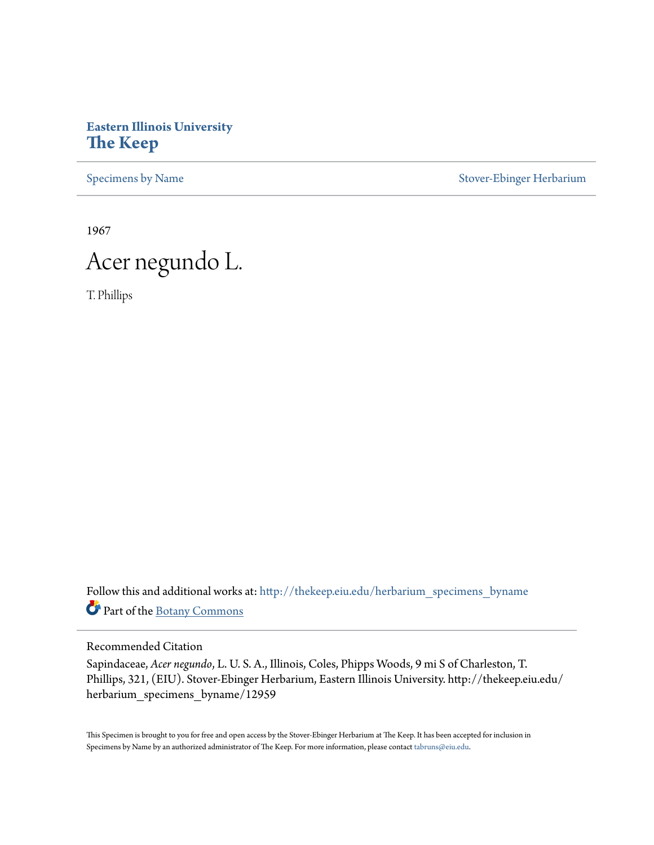## **Eastern Illinois University [The Keep](http://thekeep.eiu.edu?utm_source=thekeep.eiu.edu%2Fherbarium_specimens_byname%2F12959&utm_medium=PDF&utm_campaign=PDFCoverPages)**

[Specimens by Name](http://thekeep.eiu.edu/herbarium_specimens_byname?utm_source=thekeep.eiu.edu%2Fherbarium_specimens_byname%2F12959&utm_medium=PDF&utm_campaign=PDFCoverPages) [Stover-Ebinger Herbarium](http://thekeep.eiu.edu/herbarium?utm_source=thekeep.eiu.edu%2Fherbarium_specimens_byname%2F12959&utm_medium=PDF&utm_campaign=PDFCoverPages)

1967

## Acer negundo L.

T. Phillips

Follow this and additional works at: [http://thekeep.eiu.edu/herbarium\\_specimens\\_byname](http://thekeep.eiu.edu/herbarium_specimens_byname?utm_source=thekeep.eiu.edu%2Fherbarium_specimens_byname%2F12959&utm_medium=PDF&utm_campaign=PDFCoverPages) Part of the [Botany Commons](http://network.bepress.com/hgg/discipline/104?utm_source=thekeep.eiu.edu%2Fherbarium_specimens_byname%2F12959&utm_medium=PDF&utm_campaign=PDFCoverPages)

Recommended Citation

Sapindaceae, *Acer negundo*, L. U. S. A., Illinois, Coles, Phipps Woods, 9 mi S of Charleston, T. Phillips, 321, (EIU). Stover-Ebinger Herbarium, Eastern Illinois University. http://thekeep.eiu.edu/ herbarium\_specimens\_byname/12959

This Specimen is brought to you for free and open access by the Stover-Ebinger Herbarium at The Keep. It has been accepted for inclusion in Specimens by Name by an authorized administrator of The Keep. For more information, please contact [tabruns@eiu.edu](mailto:tabruns@eiu.edu).